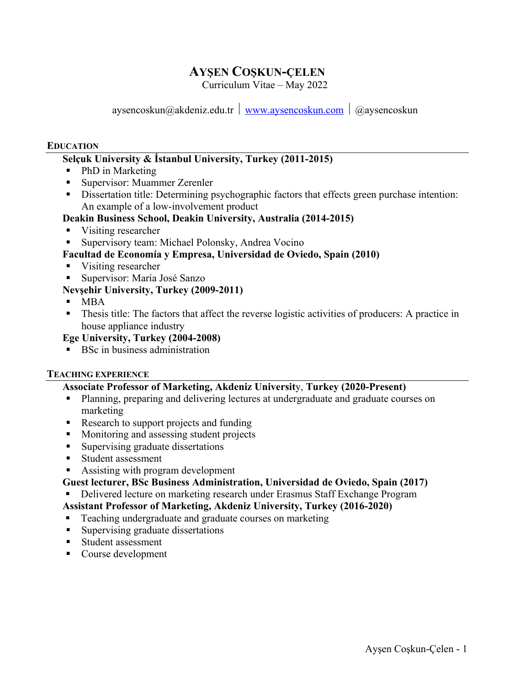# **AYŞEN COŞKUN-ÇELEN**

Curriculum Vitae – May 2022

aysencoskun@akdeniz.edu.tr  $\frac{w}{w}$  www.aysencoskun.com  $\frac{a}{w}$  @aysencoskun

#### **EDUCATION**

## **Selçuk University & İstanbul University, Turkey (2011-2015)**

- PhD in Marketing
- Supervisor: Muammer Zerenler
- Dissertation title: Determining psychographic factors that effects green purchase intention: An example of a low-involvement product

### **Deakin Business School, Deakin University, Australia (2014-2015)**

- Visiting researcher
- Supervisory team: Michael Polonsky, Andrea Vocino
- **Facultad de Economía y Empresa, Universidad de Oviedo, Spain (2010)**
- Visiting researcher
- § Supervisor: María José Sanzo

### **Nevşehir University, Turkey (2009-2011)**

- $-MBA$
- Thesis title: The factors that affect the reverse logistic activities of producers: A practice in house appliance industry

### **Ege University, Turkey (2004-2008)**

■ BSc in business administration

#### **TEACHING EXPERIENCE**

#### **Associate Professor of Marketing, Akdeniz Universit**y, **Turkey (2020-Present)**

- Planning, preparing and delivering lectures at undergraduate and graduate courses on marketing
- Research to support projects and funding
- Monitoring and assessing student projects
- Supervising graduate dissertations
- Student assessment
- Assisting with program development
- **Guest lecturer, BSc Business Administration, Universidad de Oviedo, Spain (2017)**
- Delivered lecture on marketing research under Erasmus Staff Exchange Program

### **Assistant Professor of Marketing, Akdeniz University, Turkey (2016-2020)**

- Teaching undergraduate and graduate courses on marketing
- Supervising graduate dissertations
- Student assessment
- Course development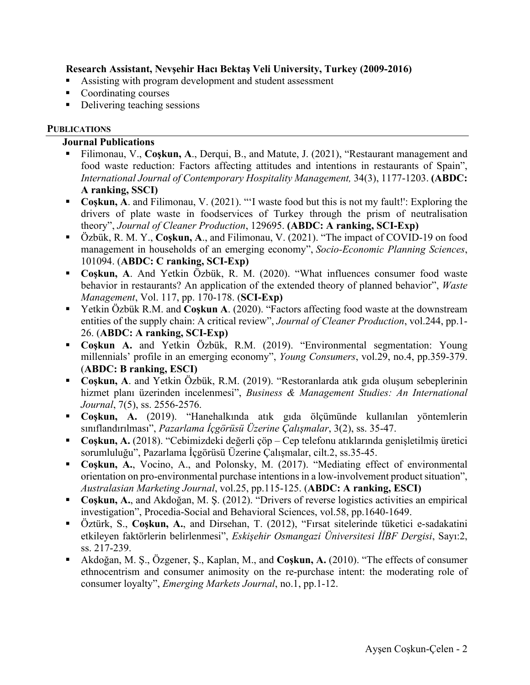### **Research Assistant, Nevşehir Hacı Bektaş Veli University, Turkey (2009-2016)**

- Assisting with program development and student assessment
- Coordinating courses
- Delivering teaching sessions

### **PUBLICATIONS**

### **Journal Publications**

- § Filimonau, V., **Coşkun, A**., Derqui, B., and Matute, J. (2021), "Restaurant management and food waste reduction: Factors affecting attitudes and intentions in restaurants of Spain", *International Journal of Contemporary Hospitality Management,* 34(3), 1177-1203. **(ABDC: A ranking, SSCI)**
- Coskun, A. and Filimonau, V. (2021). "'I waste food but this is not my fault!': Exploring the drivers of plate waste in foodservices of Turkey through the prism of neutralisation theory", *Journal of Cleaner Production*, 129695. **(ABDC: A ranking, SCI-Exp)**
- § Özbük, R. M. Y., **Coşkun, A**., and Filimonau, V. (2021). "The impact of COVID-19 on food management in households of an emerging economy", *Socio-Economic Planning Sciences*, 101094. (**ABDC: C ranking, SCI-Exp)**
- § **Coşkun, A**. And Yetkin Özbük, R. M. (2020). "What influences consumer food waste behavior in restaurants? An application of the extended theory of planned behavior", *Waste Management*, Vol. 117, pp. 170-178. (**SCI-Exp)**
- Yetkin Özbük R.M. and **Coşkun A**. (2020). "Factors affecting food waste at the downstream entities of the supply chain: A critical review", *Journal of Cleaner Production*, vol.244, pp.1- 26. (**ABDC: A ranking, SCI-Exp)**
- § **Coşkun A.** and Yetkin Özbük, R.M. (2019). "Environmental segmentation: Young millennials' profile in an emerging economy", *Young Consumers*, vol.29, no.4, pp.359-379. (**ABDC: B ranking, ESCI)**
- Coskun, A. and Yetkin Özbük, R.M. (2019). "Restoranlarda atık gıda oluşum sebeplerinin hizmet planı üzerinden incelenmesi", *Business & Management Studies: An International Journal*, 7(5), ss. 2556-2576.
- § **Coşkun, A.** (2019). "Hanehalkında atık gıda ölçümünde kullanılan yöntemlerin sınıflandırılması", *Pazarlama İçgörüsü Üzerine Çalışmalar*, 3(2), ss. 35-47.
- Coşkun, A. (2018). "Cebimizdeki değerli çöp Cep telefonu atıklarında genişletilmiş üretici sorumluluğu", Pazarlama İçgörüsü Üzerine Çalışmalar, cilt.2, ss.35-45.
- § **Coşkun, A.**, Vocino, A., and Polonsky, M. (2017). "Mediating effect of environmental orientation on pro-environmental purchase intentions in a low-involvement product situation", *Australasian Marketing Journal*, vol.25, pp.115-125. (**ABDC: A ranking, ESCI)**
- Coskun, A., and Akdoğan, M. Ş. (2012). "Drivers of reverse logistics activities an empirical investigation", Procedia-Social and Behavioral Sciences, vol.58, pp.1640-1649.
- § Öztürk, S., **Coşkun, A.**, and Dirsehan, T. (2012), "Fırsat sitelerinde tüketici e-sadakatini etkileyen faktörlerin belirlenmesi", *Eskişehir Osmangazi Üniversitesi İİBF Dergisi*, Sayı:2, ss. 217-239.
- Akdoğan, M. Ş., Özgener, Ş., Kaplan, M., and **Coşkun, A.** (2010). "The effects of consumer ethnocentrism and consumer animosity on the re-purchase intent: the moderating role of consumer loyalty", *Emerging Markets Journal*, no.1, pp.1-12.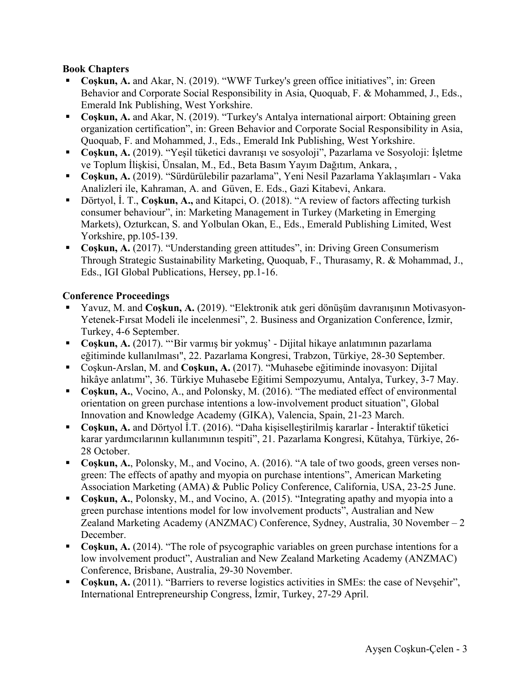### **Book Chapters**

- Coskun, A. and Akar, N. (2019). "WWF Turkey's green office initiatives", in: Green Behavior and Corporate Social Responsibility in Asia, Quoquab, F. & Mohammed, J., Eds., Emerald Ink Publishing, West Yorkshire.
- Coskun, A. and Akar, N. (2019). "Turkey's Antalya international airport: Obtaining green organization certification", in: Green Behavior and Corporate Social Responsibility in Asia, Quoquab, F. and Mohammed, J., Eds., Emerald Ink Publishing, West Yorkshire.
- Coşkun, A. (2019). "Yeşil tüketici davranışı ve sosyoloji", Pazarlama ve Sosyoloji: İşletme ve Toplum İlişkisi, Ünsalan, M., Ed., Beta Basım Yayım Dağıtım, Ankara, ,
- § **Coşkun, A.** (2019). "Sürdürülebilir pazarlama", Yeni Nesil Pazarlama Yaklaşımları Vaka Analizleri ile, Kahraman, A. and Güven, E. Eds., Gazi Kitabevi, Ankara.
- Dörtyol, İ. T., **Coşkun, A.,** and Kitapci, O. (2018). "A review of factors affecting turkish consumer behaviour", in: Marketing Management in Turkey (Marketing in Emerging Markets), Ozturkcan, S. and Yolbulan Okan, E., Eds., Emerald Publishing Limited, West Yorkshire, pp.105-139.
- Coskun, A. (2017). "Understanding green attitudes", in: Driving Green Consumerism Through Strategic Sustainability Marketing, Quoquab, F., Thurasamy, R. & Mohammad, J., Eds., IGI Global Publications, Hersey, pp.1-16.

### **Conference Proceedings**

- Yavuz, M. and **Coskun, A.** (2019). "Elektronik atık geri dönüşüm davranışının Motivasyon-Yetenek-Fırsat Modeli ile incelenmesi", 2. Business and Organization Conference, İzmir, Turkey, 4-6 September.
- Coskun, A. (2017). "'Bir varmış bir yokmuş' Dijital hikaye anlatımının pazarlama eğitiminde kullanılması", 22. Pazarlama Kongresi, Trabzon, Türkiye, 28-30 September.
- Coskun-Arslan, M. and **Coskun, A.** (2017). "Muhasebe eğitiminde inovasyon: Dijital hikâye anlatımı", 36. Türkiye Muhasebe Eğitimi Sempozyumu, Antalya, Turkey, 3-7 May.
- Coskun, A., Vocino, A., and Polonsky, M. (2016). "The mediated effect of environmental orientation on green purchase intentions a low-involvement product situation", Global Innovation and Knowledge Academy (GIKA), Valencia, Spain, 21-23 March.
- Coskun, A. and Dörtyol İ.T. (2016). "Daha kişiselleştirilmiş kararlar İnteraktif tüketici karar yardımcılarının kullanımının tespiti", 21. Pazarlama Kongresi, Kütahya, Türkiye, 26- 28 October.
- § **Coşkun, A.**, Polonsky, M., and Vocino, A. (2016). "A tale of two goods, green verses nongreen: The effects of apathy and myopia on purchase intentions", American Marketing Association Marketing (AMA) & Public Policy Conference, California, USA, 23-25 June.
- Coskun, A., Polonsky, M., and Vocino, A. (2015). "Integrating apathy and myopia into a green purchase intentions model for low involvement products", Australian and New Zealand Marketing Academy (ANZMAC) Conference, Sydney, Australia, 30 November – 2 December.
- Coskun, A. (2014). "The role of psycographic variables on green purchase intentions for a low involvement product", Australian and New Zealand Marketing Academy (ANZMAC) Conference, Brisbane, Australia, 29-30 November.
- Coskun, A. (2011). "Barriers to reverse logistics activities in SMEs: the case of Nevşehir", International Entrepreneurship Congress, İzmir, Turkey, 27-29 April.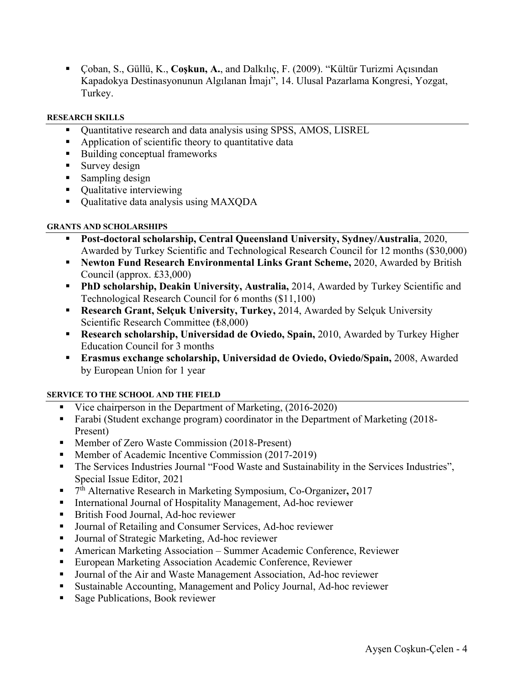§ Çoban, S., Güllü, K., **Coşkun, A.**, and Dalkılıç, F. (2009). "Kültür Turizmi Açısından Kapadokya Destinasyonunun Algılanan İmajı", 14. Ulusal Pazarlama Kongresi, Yozgat, Turkey.

#### **RESEARCH SKILLS**

- § Quantitative research and data analysis using SPSS, AMOS, LISREL
- Application of scientific theory to quantitative data
- Building conceptual frameworks
- Survey design
- Sampling design
- Qualitative interviewing
- Oualitative data analysis using MAXODA

#### **GRANTS AND SCHOLARSHIPS**

- § **Post-doctoral scholarship, Central Queensland University, Sydney/Australia**, 2020, Awarded by Turkey Scientific and Technological Research Council for 12 months (\$30,000)
- § **Newton Fund Research Environmental Links Grant Scheme,** 2020, Awarded by British Council (approx. £33,000)
- § **PhD scholarship, Deakin University, Australia,** 2014, Awarded by Turkey Scientific and Technological Research Council for 6 months (\$11,100)
- § **Research Grant, Selçuk University, Turkey,** 2014, Awarded by Selçuk University Scientific Research Committee (₺8,000)
- § **Research scholarship, Universidad de Oviedo, Spain,** 2010, Awarded by Turkey Higher Education Council for 3 months
- § **Erasmus exchange scholarship, Universidad de Oviedo, Oviedo/Spain,** 2008, Awarded by European Union for 1 year

#### **SERVICE TO THE SCHOOL AND THE FIELD**

- Vice chairperson in the Department of Marketing, (2016-2020)
- Farabi (Student exchange program) coordinator in the Department of Marketing (2018-Present)
- Member of Zero Waste Commission (2018-Present)
- § Member of Academic Incentive Commission (2017-2019)
- The Services Industries Journal "Food Waste and Sustainability in the Services Industries", Special Issue Editor, 2021
- 7<sup>th</sup> Alternative Research in Marketing Symposium, Co-Organizer, 2017
- International Journal of Hospitality Management, Ad-hoc reviewer
- British Food Journal, Ad-hoc reviewer
- Journal of Retailing and Consumer Services, Ad-hoc reviewer
- § Journal of Strategic Marketing, Ad-hoc reviewer
- § American Marketing Association Summer Academic Conference, Reviewer
- European Marketing Association Academic Conference, Reviewer
- Journal of the Air and Waste Management Association, Ad-hoc reviewer
- Sustainable Accounting, Management and Policy Journal, Ad-hoc reviewer
- Sage Publications, Book reviewer